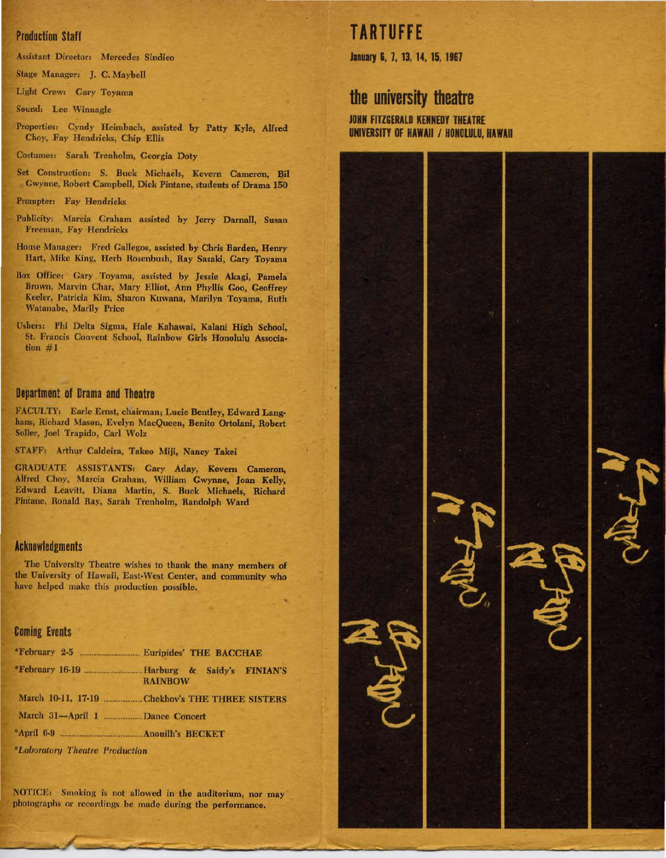### Production Staff

Assistant Director: Mercedes Sindico

Stage Manager: *].* C. Maybell

Light Crew: Gary Toyama

Sound: Lee Winnagle

Properties: Cyndy Heimbach, nssisted by Patty Kyle, Alfred Choy, Fay Hendricks, Chip Ellis

Costumes: Sarah Trenholm, Georgia Doty

Set Construction: S. Buck Michaels, Kevem Cameron, Bil Gwynne, Robert Campbell, Dick Pintane, students of Drama 150

Prompter: Fay Hendricks

Publicity: Marcia Graham assisted by Jerry Darnall, Susan Freeman, Fay Hendricks

House Manager: Fred Gallegos, assisted by Chris Barden, Henry Hart, Mike King, Herb Roscnbush, Ray Sasaki, Gary Toyama

Box Office: Gary Toyama, assisted by Jessie Akagi, Pamela Brown, Marvin Char, Mary Elliot, Ann Phyllis Goo, Geoffrey Keeler, Patricia Kim, Sharon Kuwana, Marilyn Toyama, Ruth Watanabe, Marily Price

Ushers: Phi Delta Sigma, Hale Kahawai, Kalani High School, St. Francis Convent School, Rainbow Girls Honolulu Association  $#1$ 

### Department of Drama and Theatre

FACULTY: Earle Ernst, chairman; Lucie Bentley, Edward Langhans, Richard Mason, Evelyn MacQueen, Benito Ortolani, Robert Soller, Joel Trapido, Carl Wolz

STAFF: Arthur Caldeira, Takeo Miji, Nancy Takei

GRADUATE ASSISTANTS: Gary Aday, Kevem Cameron, Alfred Choy, Marcia Graham, William Gwynne, Joan Kelly, Edward Leavitt, Diana Martin, S. Buck Michaels, Richard Pintane, Ronald Ray, Sarah Trenholm, Randolph Ward

#### Acknowledgments

The University Theatre wishes to thank the many members of the University of Hawaii, East-West Center, and community who have helped make this production possible.

#### Coming Events

|                                                     | <b>RAINBOW</b>                                 |
|-----------------------------------------------------|------------------------------------------------|
|                                                     | March 10-11, 17-19 Chekhov's THE THREE SISTERS |
| March 31-April 1 Dance Concert                      |                                                |
|                                                     |                                                |
| <i><b><i>•Laboratory Theatre Production</i></b></i> |                                                |

NOTICE: Smoking is not allowed in the auditorium, nor may photographs or recordings be made during the performance.

## **TARTUFFE**

January 6, 7, 13, 14, 15, 1967

## **the university theatre**

JOHN FITZGERALD KENNEDY THEATRE UNIVERSITY OF HAWAII / HONOLULU, HAWAII